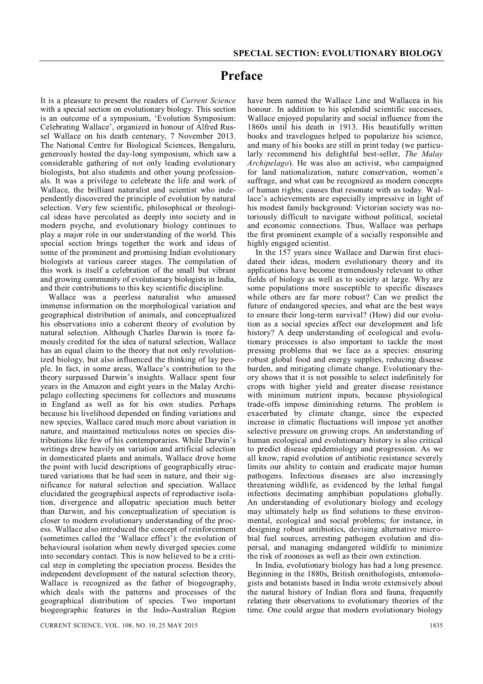## **Preface**

It is a pleasure to present the readers of *Current Science* with a special section on evolutionary biology. This section is an outcome of a symposium, 'Evolution Symposium: Celebrating Wallace', organized in honour of Alfred Russel Wallace on his death centenary, 7 November 2013. The National Centre for Biological Sciences, Bengaluru, generously hosted the day-long symposium, which saw a considerable gathering of not only leading evolutionary biologists, but also students and other young professionals. It was a privilege to celebrate the life and work of Wallace, the brilliant naturalist and scientist who independently discovered the principle of evolution by natural selection. Very few scientific, philosophical or theological ideas have percolated as deeply into society and in modern psyche, and evolutionary biology continues to play a major role in our understanding of the world. This special section brings together the work and ideas of some of the prominent and promising Indian evolutionary biologists at various career stages. The compilation of this work is itself a celebration of the small but vibrant and growing community of evolutionary biologists in India, and their contributions to this key scientific discipline.

Wallace was a peerless naturalist who amassed immense information on the morphological variation and geographical distribution of animals, and conceptualized his observations into a coherent theory of evolution by natural selection. Although Charles Darwin is more famously credited for the idea of natural selection, Wallace has an equal claim to the theory that not only revolutionized biology, but also influenced the thinking of lay people. In fact, in some areas, Wallace's contribution to the theory surpassed Darwin's insights. Wallace spent four years in the Amazon and eight years in the Malay Archipelago collecting specimens for collectors and museums in England as well as for his own studies. Perhaps because his livelihood depended on finding variations and new species, Wallace cared much more about variation in nature, and maintained meticulous notes on species distributions like few of his contemporaries. While Darwin's writings drew heavily on variation and artificial selection in domesticated plants and animals, Wallace drove home the point with lucid descriptions of geographically structured variations that he had seen in nature, and their significance for natural selection and speciation. Wallace elucidated the geographical aspects of reproductive isolation, divergence and allopatric speciation much better than Darwin, and his conceptualization of speciation is closer to modern evolutionary understanding of the process. Wallace also introduced the concept of reinforcement (sometimes called the 'Wallace effect'): the evolution of behavioural isolation when newly diverged species come into secondary contact. This is now believed to be a critical step in completing the speciation process. Besides the independent development of the natural selection theory, Wallace is recognized as the father of biogeography, which deals with the patterns and processes of the geographical distribution of species. Two important biogeographic features in the Indo-Australian Region

have been named the Wallace Line and Wallacea in his honour. In addition to his splendid scientific successes, Wallace enjoyed popularity and social influence from the 1860s until his death in 1913. His beautifully written books and travelogues helped to popularize his science, and many of his books are still in print today (we particularly recommend his delightful best-seller, *The Malay Archipelago*). He was also an activist, who campaigned for land nationalization, nature conservation, women's suffrage, and what can be recognized as modern concepts of human rights; causes that resonate with us today. Wallace's achievements are especially impressive in light of his modest family background: Victorian society was notoriously difficult to navigate without political, societal and economic connections. Thus, Wallace was perhaps the first prominent example of a socially responsible and highly engaged scientist.

In the 157 years since Wallace and Darwin first elucidated their ideas, modern evolutionary theory and its applications have become tremendously relevant to other fields of biology as well as to society at large. Why are some populations more susceptible to specific diseases while others are far more robust? Can we predict the future of endangered species, and what are the best ways to ensure their long-term survival? (How) did our evolution as a social species affect our development and life history? A deep understanding of ecological and evolutionary processes is also important to tackle the most pressing problems that we face as a species: ensuring robust global food and energy supplies, reducing disease burden, and mitigating climate change. Evolutionary theory shows that it is not possible to select indefinitely for crops with higher yield and greater disease resistance with minimum nutrient inputs, because physiological trade-offs impose diminishing returns. The problem is exacerbated by climate change, since the expected increase in climatic fluctuations will impose yet another selective pressure on growing crops. An understanding of human ecological and evolutionary history is also critical to predict disease epidemiology and progression. As we all know, rapid evolution of antibiotic resistance severely limits our ability to contain and eradicate major human pathogens. Infectious diseases are also increasingly threatening wildlife, as evidenced by the lethal fungal infections decimating amphibian populations globally. An understanding of evolutionary biology and ecology may ultimately help us find solutions to these environmental, ecological and social problems; for instance, in designing robust antibiotics, devising alternative microbial fuel sources, arresting pathogen evolution and dispersal, and managing endangered wildlife to minimize the risk of zoonoses as well as their own extinction.

In India, evolutionary biology has had a long presence. Beginning in the 1880s, British ornithologists, entomologists and botanists based in India wrote extensively about the natural history of Indian flora and fauna, frequently relating their observations to evolutionary theories of the time. One could argue that modern evolutionary biology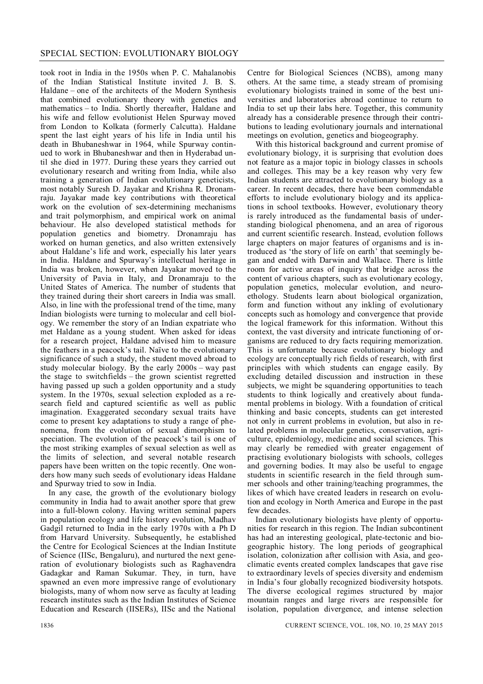took root in India in the 1950s when P. C. Mahalanobis of the Indian Statistical Institute invited J. B. S. Haldane – one of the architects of the Modern Synthesis that combined evolutionary theory with genetics and mathematics – to India. Shortly thereafter, Haldane and his wife and fellow evolutionist Helen Spurway moved from London to Kolkata (formerly Calcutta). Haldane spent the last eight years of his life in India until his death in Bhubaneshwar in 1964, while Spurway continued to work in Bhubaneshwar and then in Hyderabad until she died in 1977. During these years they carried out evolutionary research and writing from India, while also training a generation of Indian evolutionary geneticists, most notably Suresh D. Jayakar and Krishna R. Dronamraju. Jayakar made key contributions with theoretical work on the evolution of sex-determining mechanisms and trait polymorphism, and empirical work on animal behaviour. He also developed statistical methods for population genetics and biometry. Dronamraju has worked on human genetics, and also written extensively about Haldane's life and work, especially his later years in India. Haldane and Spurway's intellectual heritage in India was broken, however, when Jayakar moved to the University of Pavia in Italy, and Dronamraju to the United States of America. The number of students that they trained during their short careers in India was small. Also, in line with the professional trend of the time, many Indian biologists were turning to molecular and cell biology. We remember the story of an Indian expatriate who met Haldane as a young student. When asked for ideas for a research project, Haldane advised him to measure the feathers in a peacock's tail. Naïve to the evolutionary significance of such a study, the student moved abroad to study molecular biology. By the early 2000s – way past the stage to switchfields – the grown scientist regretted having passed up such a golden opportunity and a study system. In the 1970s, sexual selection exploded as a research field and captured scientific as well as public imagination. Exaggerated secondary sexual traits have come to present key adaptations to study a range of phenomena, from the evolution of sexual dimorphism to speciation. The evolution of the peacock's tail is one of the most striking examples of sexual selection as well as the limits of selection, and several notable research papers have been written on the topic recently. One wonders how many such seeds of evolutionary ideas Haldane and Spurway tried to sow in India.

In any case, the growth of the evolutionary biology community in India had to await another spore that grew into a full-blown colony. Having written seminal papers in population ecology and life history evolution, Madhav Gadgil returned to India in the early 1970s with a Ph D from Harvard University. Subsequently, he established the Centre for Ecological Sciences at the Indian Institute of Science (IISc, Bengaluru), and nurtured the next generation of evolutionary biologists such as Raghavendra Gadagkar and Raman Sukumar. They, in turn, have spawned an even more impressive range of evolutionary biologists, many of whom now serve as faculty at leading research institutes such as the Indian Institutes of Science Education and Research (IISERs), IISc and the National

Centre for Biological Sciences (NCBS), among many others. At the same time, a steady stream of promising evolutionary biologists trained in some of the best universities and laboratories abroad continue to return to India to set up their labs here. Together, this community already has a considerable presence through their contributions to leading evolutionary journals and international meetings on evolution, genetics and biogeography.

With this historical background and current promise of evolutionary biology, it is surprising that evolution does not feature as a major topic in biology classes in schools and colleges. This may be a key reason why very few Indian students are attracted to evolutionary biology as a career. In recent decades, there have been commendable efforts to include evolutionary biology and its applications in school textbooks. However, evolutionary theory is rarely introduced as the fundamental basis of understanding biological phenomena, and an area of rigorous and current scientific research. Instead, evolution follows large chapters on major features of organisms and is introduced as 'the story of life on earth' that seemingly began and ended with Darwin and Wallace. There is little room for active areas of inquiry that bridge across the content of various chapters, such as evolutionary ecology, population genetics, molecular evolution, and neuroethology. Students learn about biological organization, form and function without any inkling of evolutionary concepts such as homology and convergence that provide the logical framework for this information. Without this context, the vast diversity and intricate functioning of organisms are reduced to dry facts requiring memorization. This is unfortunate because evolutionary biology and ecology are conceptually rich fields of research, with first principles with which students can engage easily. By excluding detailed discussion and instruction in these subjects, we might be squandering opportunities to teach students to think logically and creatively about fundamental problems in biology. With a foundation of critical thinking and basic concepts, students can get interested not only in current problems in evolution, but also in related problems in molecular genetics, conservation, agriculture, epidemiology, medicine and social sciences. This may clearly be remedied with greater engagement of practising evolutionary biologists with schools, colleges and governing bodies. It may also be useful to engage students in scientific research in the field through summer schools and other training/teaching programmes, the likes of which have created leaders in research on evolution and ecology in North America and Europe in the past few decades.

Indian evolutionary biologists have plenty of opportunities for research in this region. The Indian subcontinent has had an interesting geological, plate-tectonic and biogeographic history. The long periods of geographical isolation, colonization after collision with Asia, and geoclimatic events created complex landscapes that gave rise to extraordinary levels of species diversity and endemism in India's four globally recognized biodiversity hotspots. The diverse ecological regimes structured by major mountain ranges and large rivers are responsible for isolation, population divergence, and intense selection